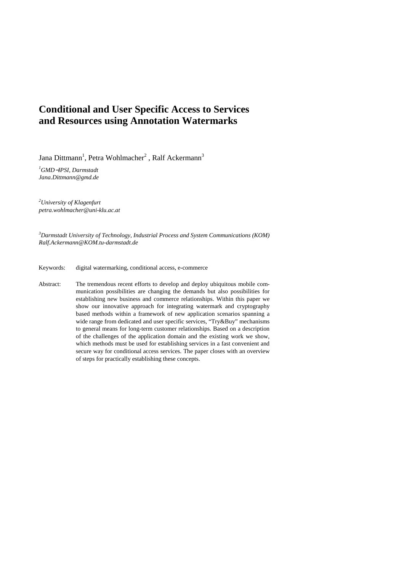# **Conditional and User Specific Access to Services and Resources using Annotation Watermarks**

Jana Dittmann<sup>1</sup>, Petra Wohlmacher<sup>2</sup> , Ralf Ackermann<sup>3</sup>

*<sup>1</sup>GMD*−*IPSI, Darmstadt Jana.Dittmann@gmd.de*

*<sup>2</sup>University of Klagenfurt petra.wohlmacher@uni-klu.ac.at*

*<sup>3</sup>Darmstadt University of Technology, Industrial Process and System Communications (KOM) Ralf.Ackermann@KOM.tu-darmstadt.de*

Keywords: digital watermarking, conditional access, e-commerce

Abstract: The tremendous recent efforts to develop and deploy ubiquitous mobile communication possibilities are changing the demands but also possibilities for establishing new business and commerce relationships. Within this paper we show our innovative approach for integrating watermark and cryptography based methods within a framework of new application scenarios spanning a wide range from dedicated and user specific services, "Try&Buy" mechanisms to general means for long-term customer relationships. Based on a description of the challenges of the application domain and the existing work we show, which methods must be used for establishing services in a fast convenient and secure way for conditional access services. The paper closes with an overview of steps for practically establishing these concepts.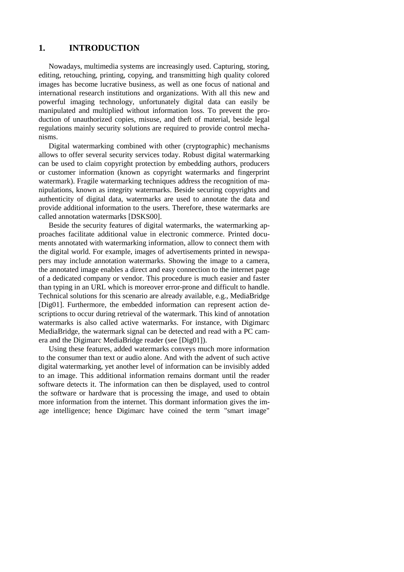#### **1. INTRODUCTION**

Nowadays, multimedia systems are increasingly used. Capturing, storing, editing, retouching, printing, copying, and transmitting high quality colored images has become lucrative business, as well as one focus of national and international research institutions and organizations. With all this new and powerful imaging technology, unfortunately digital data can easily be manipulated and multiplied without information loss. To prevent the production of unauthorized copies, misuse, and theft of material, beside legal regulations mainly security solutions are required to provide control mechanisms.

Digital watermarking combined with other (cryptographic) mechanisms allows to offer several security services today. Robust digital watermarking can be used to claim copyright protection by embedding authors, producers or customer information (known as copyright watermarks and fingerprint watermark). Fragile watermarking techniques address the recognition of manipulations, known as integrity watermarks. Beside securing copyrights and authenticity of digital data, watermarks are used to annotate the data and provide additional information to the users. Therefore, these watermarks are called annotation watermarks [DSKS00].

Beside the security features of digital watermarks, the watermarking approaches facilitate additional value in electronic commerce. Printed documents annotated with watermarking information, allow to connect them with the digital world. For example, images of advertisements printed in newspapers may include annotation watermarks. Showing the image to a camera, the annotated image enables a direct and easy connection to the internet page of a dedicated company or vendor. This procedure is much easier and faster than typing in an URL which is moreover error-prone and difficult to handle. Technical solutions for this scenario are already available, e.g., MediaBridge [Dig01]. Furthermore, the embedded information can represent action descriptions to occur during retrieval of the watermark. This kind of annotation watermarks is also called active watermarks. For instance, with Digimarc MediaBridge, the watermark signal can be detected and read with a PC camera and the Digimarc MediaBridge reader (see [Dig01]).

Using these features, added watermarks conveys much more information to the consumer than text or audio alone. And with the advent of such active digital watermarking, yet another level of information can be invisibly added to an image. This additional information remains dormant until the reader software detects it. The information can then be displayed, used to control the software or hardware that is processing the image, and used to obtain more information from the internet. This dormant information gives the image intelligence; hence Digimarc have coined the term "smart image"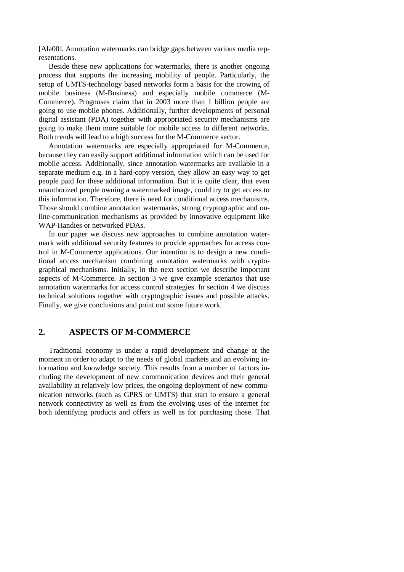[Ala00]. Annotation watermarks can bridge gaps between various media representations.

Beside these new applications for watermarks, there is another ongoing process that supports the increasing mobility of people. Particularly, the setup of UMTS-technology based networks form a basis for the crowing of mobile business (M-Business) and especially mobile commerce (M-Commerce). Prognoses claim that in 2003 more than 1 billion people are going to use mobile phones. Additionally, further developments of personal digital assistant (PDA) together with appropriated security mechanisms are going to make them more suitable for mobile access to different networks. Both trends will lead to a high success for the M-Commerce sector.

Annotation watermarks are especially appropriated for M-Commerce, because they can easily support additional information which can be used for mobile access. Additionally, since annotation watermarks are available in a separate medium e.g. in a hard-copy version, they allow an easy way to get people paid for these additional information. But it is quite clear, that even unauthorized people owning a watermarked image, could try to get access to this information. Therefore, there is need for conditional access mechanisms. Those should combine annotation watermarks, strong cryptographic and online-communication mechanisms as provided by innovative equipment like WAP-Handies or networked PDAs.

In our paper we discuss new approaches to combine annotation watermark with additional security features to provide approaches for access control in M-Commerce applications. Our intention is to design a new conditional access mechanism combining annotation watermarks with cryptographical mechanisms. Initially, in the next section we describe important aspects of M-Commerce. In section 3 we give example scenarios that use annotation watermarks for access control strategies. In section 4 we discuss technical solutions together with cryptographic issues and possible attacks. Finally, we give conclusions and point out some future work.

# **2. ASPECTS OF M-COMMERCE**

Traditional economy is under a rapid development and change at the moment in order to adapt to the needs of global markets and an evolving information and knowledge society. This results from a number of factors including the development of new communication devices and their general availability at relatively low prices, the ongoing deployment of new communication networks (such as GPRS or UMTS) that start to ensure a general network connectivity as well as from the evolving uses of the internet for both identifying products and offers as well as for purchasing those. That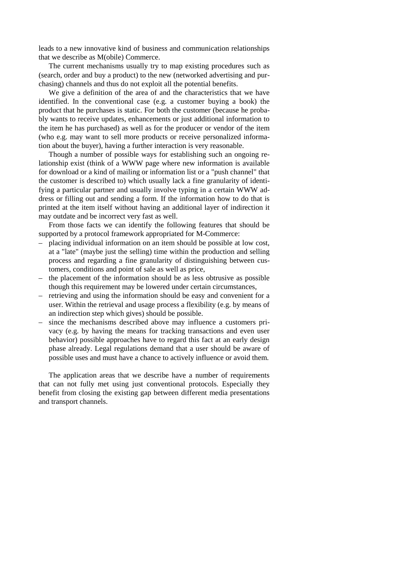leads to a new innovative kind of business and communication relationships that we describe as M(obile) Commerce.

The current mechanisms usually try to map existing procedures such as (search, order and buy a product) to the new (networked advertising and purchasing) channels and thus do not exploit all the potential benefits.

We give a definition of the area of and the characteristics that we have identified. In the conventional case (e.g. a customer buying a book) the product that he purchases is static. For both the customer (because he probably wants to receive updates, enhancements or just additional information to the item he has purchased) as well as for the producer or vendor of the item (who e.g. may want to sell more products or receive personalized information about the buyer), having a further interaction is very reasonable.

Though a number of possible ways for establishing such an ongoing relationship exist (think of a WWW page where new information is available for download or a kind of mailing or information list or a "push channel" that the customer is described to) which usually lack a fine granularity of identifying a particular partner and usually involve typing in a certain WWW address or filling out and sending a form. If the information how to do that is printed at the item itself without having an additional layer of indirection it may outdate and be incorrect very fast as well.

From those facts we can identify the following features that should be supported by a protocol framework appropriated for M-Commerce:

- placing individual information on an item should be possible at low cost, at a "late" (maybe just the selling) time within the production and selling process and regarding a fine granularity of distinguishing between customers, conditions and point of sale as well as price,
- the placement of the information should be as less obtrusive as possible though this requirement may be lowered under certain circumstances,
- retrieving and using the information should be easy and convenient for a user. Within the retrieval and usage process a flexibility (e.g. by means of an indirection step which gives) should be possible.
- since the mechanisms described above may influence a customers privacy (e.g. by having the means for tracking transactions and even user behavior) possible approaches have to regard this fact at an early design phase already. Legal regulations demand that a user should be aware of possible uses and must have a chance to actively influence or avoid them.

The application areas that we describe have a number of requirements that can not fully met using just conventional protocols. Especially they benefit from closing the existing gap between different media presentations and transport channels.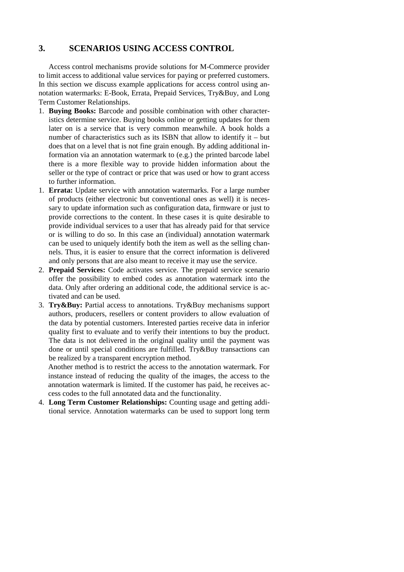# **3. SCENARIOS USING ACCESS CONTROL**

Access control mechanisms provide solutions for M-Commerce provider to limit access to additional value services for paying or preferred customers. In this section we discuss example applications for access control using annotation watermarks: E-Book, Errata, Prepaid Services, Try&Buy, and Long Term Customer Relationships.

- 1. **Buying Books:** Barcode and possible combination with other characteristics determine service. Buying books online or getting updates for them later on is a service that is very common meanwhile. A book holds a number of characteristics such as its ISBN that allow to identify it – but does that on a level that is not fine grain enough. By adding additional information via an annotation watermark to (e.g.) the printed barcode label there is a more flexible way to provide hidden information about the seller or the type of contract or price that was used or how to grant access to further information.
- 1. **Errata:** Update service with annotation watermarks. For a large number of products (either electronic but conventional ones as well) it is necessary to update information such as configuration data, firmware or just to provide corrections to the content. In these cases it is quite desirable to provide individual services to a user that has already paid for that service or is willing to do so. In this case an (individual) annotation watermark can be used to uniquely identify both the item as well as the selling channels. Thus, it is easier to ensure that the correct information is delivered and only persons that are also meant to receive it may use the service.
- 2. **Prepaid Services:** Code activates service. The prepaid service scenario offer the possibility to embed codes as annotation watermark into the data. Only after ordering an additional code, the additional service is activated and can be used.
- 3. **Try&Buy:** Partial access to annotations. Try&Buy mechanisms support authors, producers, resellers or content providers to allow evaluation of the data by potential customers. Interested parties receive data in inferior quality first to evaluate and to verify their intentions to buy the product. The data is not delivered in the original quality until the payment was done or until special conditions are fulfilled. Try&Buy transactions can be realized by a transparent encryption method.

Another method is to restrict the access to the annotation watermark. For instance instead of reducing the quality of the images, the access to the annotation watermark is limited. If the customer has paid, he receives access codes to the full annotated data and the functionality.

4. **Long Term Customer Relationships:** Counting usage and getting additional service. Annotation watermarks can be used to support long term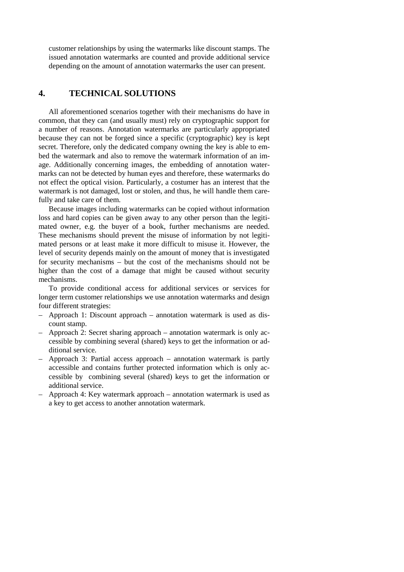customer relationships by using the watermarks like discount stamps. The issued annotation watermarks are counted and provide additional service depending on the amount of annotation watermarks the user can present.

## **4. TECHNICAL SOLUTIONS**

All aforementioned scenarios together with their mechanisms do have in common, that they can (and usually must) rely on cryptographic support for a number of reasons. Annotation watermarks are particularly appropriated because they can not be forged since a specific (cryptographic) key is kept secret. Therefore, only the dedicated company owning the key is able to embed the watermark and also to remove the watermark information of an image. Additionally concerning images, the embedding of annotation watermarks can not be detected by human eyes and therefore, these watermarks do not effect the optical vision. Particularly, a costumer has an interest that the watermark is not damaged, lost or stolen, and thus, he will handle them carefully and take care of them.

Because images including watermarks can be copied without information loss and hard copies can be given away to any other person than the legitimated owner, e.g. the buyer of a book, further mechanisms are needed. These mechanisms should prevent the misuse of information by not legitimated persons or at least make it more difficult to misuse it. However, the level of security depends mainly on the amount of money that is investigated for security mechanisms – but the cost of the mechanisms should not be higher than the cost of a damage that might be caused without security mechanisms.

To provide conditional access for additional services or services for longer term customer relationships we use annotation watermarks and design four different strategies:

- Approach 1: Discount approach annotation watermark is used as discount stamp.
- Approach 2: Secret sharing approach annotation watermark is only accessible by combining several (shared) keys to get the information or additional service.
- Approach 3: Partial access approach annotation watermark is partly accessible and contains further protected information which is only accessible by combining several (shared) keys to get the information or additional service.
- Approach 4: Key watermark approach annotation watermark is used as a key to get access to another annotation watermark.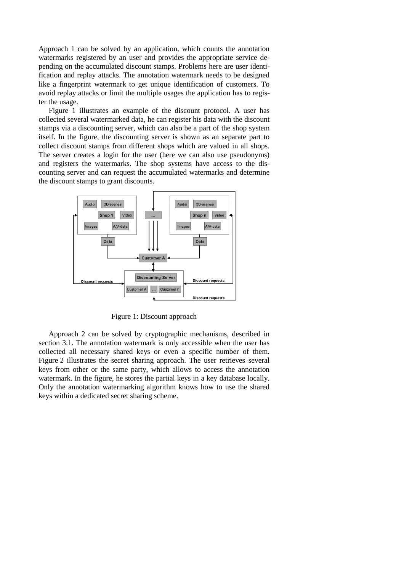Approach 1 can be solved by an application, which counts the annotation watermarks registered by an user and provides the appropriate service depending on the accumulated discount stamps. Problems here are user identification and replay attacks. The annotation watermark needs to be designed like a fingerprint watermark to get unique identification of customers. To avoid replay attacks or limit the multiple usages the application has to register the usage.

Figure 1 illustrates an example of the discount protocol. A user has collected several watermarked data, he can register his data with the discount stamps via a discounting server, which can also be a part of the shop system itself. In the figure, the discounting server is shown as an separate part to collect discount stamps from different shops which are valued in all shops. The server creates a login for the user (here we can also use pseudonyms) and registers the watermarks. The shop systems have access to the discounting server and can request the accumulated watermarks and determine the discount stamps to grant discounts.



Figure 1: Discount approach

Approach 2 can be solved by cryptographic mechanisms, described in section 3.1. The annotation watermark is only accessible when the user has collected all necessary shared keys or even a specific number of them. Figure 2 illustrates the secret sharing approach. The user retrieves several keys from other or the same party, which allows to access the annotation watermark. In the figure, he stores the partial keys in a key database locally. Only the annotation watermarking algorithm knows how to use the shared keys within a dedicated secret sharing scheme.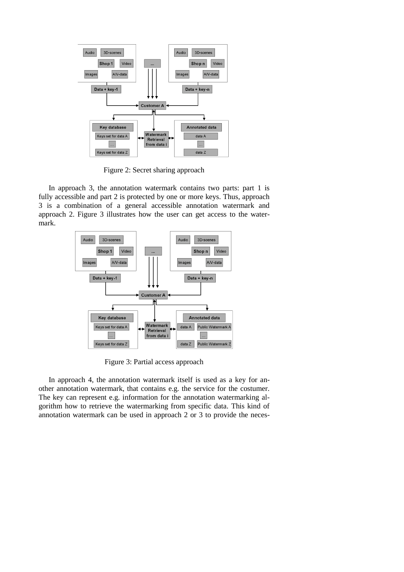

Figure 2: Secret sharing approach

In approach 3, the annotation watermark contains two parts: part 1 is fully accessible and part 2 is protected by one or more keys. Thus, approach 3 is a combination of a general accessible annotation watermark and approach 2. Figure 3 illustrates how the user can get access to the watermark.



Figure 3: Partial access approach

In approach 4, the annotation watermark itself is used as a key for another annotation watermark, that contains e.g. the service for the costumer. The key can represent e.g. information for the annotation watermarking algorithm how to retrieve the watermarking from specific data. This kind of annotation watermark can be used in approach 2 or 3 to provide the neces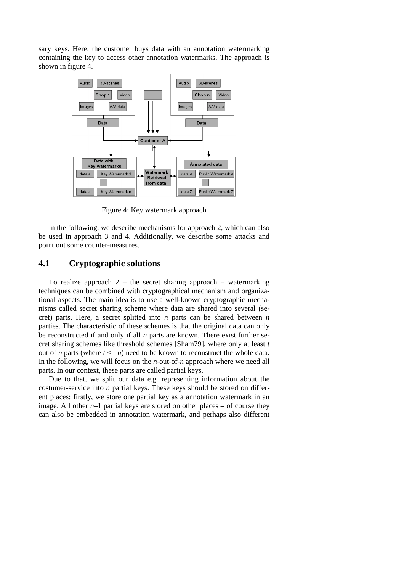sary keys. Here, the customer buys data with an annotation watermarking containing the key to access other annotation watermarks. The approach is shown in figure 4.



Figure 4: Key watermark approach

In the following, we describe mechanisms for approach 2, which can also be used in approach 3 and 4. Additionally, we describe some attacks and point out some counter-measures.

## **4.1 Cryptographic solutions**

To realize approach  $2$  – the secret sharing approach – watermarking techniques can be combined with cryptographical mechanism and organizational aspects. The main idea is to use a well-known cryptographic mechanisms called secret sharing scheme where data are shared into several (secret) parts. Here, a secret splitted into *n* parts can be shared between *n* parties. The characteristic of these schemes is that the original data can only be reconstructed if and only if all *n* parts are known. There exist further secret sharing schemes like threshold schemes [Sham79], where only at least *t* out of *n* parts (where  $t \le n$ ) need to be known to reconstruct the whole data. In the following, we will focus on the *n*-out-of-*n* approach where we need all parts. In our context, these parts are called partial keys.

Due to that, we split our data e.g. representing information about the costumer-service into *n* partial keys. These keys should be stored on different places: firstly, we store one partial key as a annotation watermark in an image. All other  $n-1$  partial keys are stored on other places – of course they can also be embedded in annotation watermark, and perhaps also different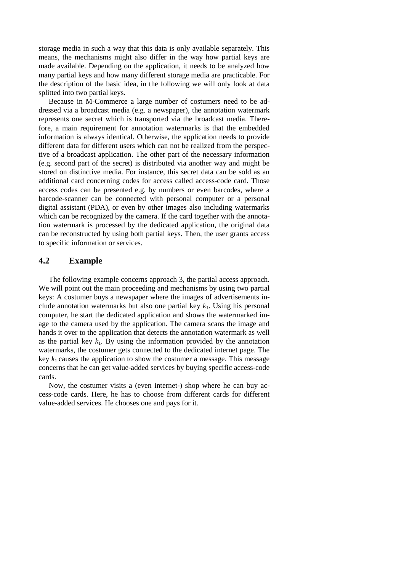storage media in such a way that this data is only available separately. This means, the mechanisms might also differ in the way how partial keys are made available. Depending on the application, it needs to be analyzed how many partial keys and how many different storage media are practicable. For the description of the basic idea, in the following we will only look at data splitted into two partial keys.

Because in M-Commerce a large number of costumers need to be addressed via a broadcast media (e.g. a newspaper), the annotation watermark represents one secret which is transported via the broadcast media. Therefore, a main requirement for annotation watermarks is that the embedded information is always identical. Otherwise, the application needs to provide different data for different users which can not be realized from the perspective of a broadcast application. The other part of the necessary information (e.g. second part of the secret) is distributed via another way and might be stored on distinctive media. For instance, this secret data can be sold as an additional card concerning codes for access called access-code card. Those access codes can be presented e.g. by numbers or even barcodes, where a barcode-scanner can be connected with personal computer or a personal digital assistant (PDA), or even by other images also including watermarks which can be recognized by the camera. If the card together with the annotation watermark is processed by the dedicated application, the original data can be reconstructed by using both partial keys. Then, the user grants access to specific information or services.

## **4.2 Example**

The following example concerns approach 3, the partial access approach. We will point out the main proceeding and mechanisms by using two partial keys: A costumer buys a newspaper where the images of advertisements include annotation watermarks but also one partial key  $k_1$ . Using his personal computer, he start the dedicated application and shows the watermarked image to the camera used by the application. The camera scans the image and hands it over to the application that detects the annotation watermark as well as the partial key  $k_1$ . By using the information provided by the annotation watermarks, the costumer gets connected to the dedicated internet page. The key  $k_1$  causes the application to show the costumer a message. This message concerns that he can get value-added services by buying specific access-code cards.

Now, the costumer visits a (even internet-) shop where he can buy access-code cards. Here, he has to choose from different cards for different value-added services. He chooses one and pays for it.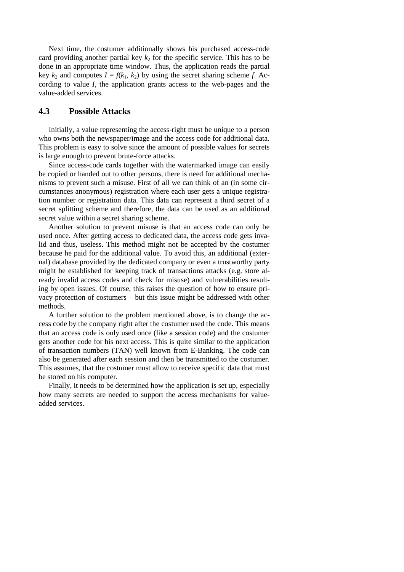Next time, the costumer additionally shows his purchased access-code card providing another partial key  $k_2$  for the specific service. This has to be done in an appropriate time window. Thus, the application reads the partial key  $k_2$  and computes  $I = f(k_1, k_2)$  by using the secret sharing scheme *f*. According to value *I*, the application grants access to the web-pages and the value-added services.

#### **4.3 Possible Attacks**

Initially, a value representing the access-right must be unique to a person who owns both the newspaper/image and the access code for additional data. This problem is easy to solve since the amount of possible values for secrets is large enough to prevent brute-force attacks.

Since access-code cards together with the watermarked image can easily be copied or handed out to other persons, there is need for additional mechanisms to prevent such a misuse. First of all we can think of an (in some circumstances anonymous) registration where each user gets a unique registration number or registration data. This data can represent a third secret of a secret splitting scheme and therefore, the data can be used as an additional secret value within a secret sharing scheme.

Another solution to prevent misuse is that an access code can only be used once. After getting access to dedicated data, the access code gets invalid and thus, useless. This method might not be accepted by the costumer because he paid for the additional value. To avoid this, an additional (external) database provided by the dedicated company or even a trustworthy party might be established for keeping track of transactions attacks (e.g. store already invalid access codes and check for misuse) and vulnerabilities resulting by open issues. Of course, this raises the question of how to ensure privacy protection of costumers – but this issue might be addressed with other methods.

A further solution to the problem mentioned above, is to change the access code by the company right after the costumer used the code. This means that an access code is only used once (like a session code) and the costumer gets another code for his next access. This is quite similar to the application of transaction numbers (TAN) well known from E-Banking. The code can also be generated after each session and then be transmitted to the costumer. This assumes, that the costumer must allow to receive specific data that must be stored on his computer.

Finally, it needs to be determined how the application is set up, especially how many secrets are needed to support the access mechanisms for valueadded services.